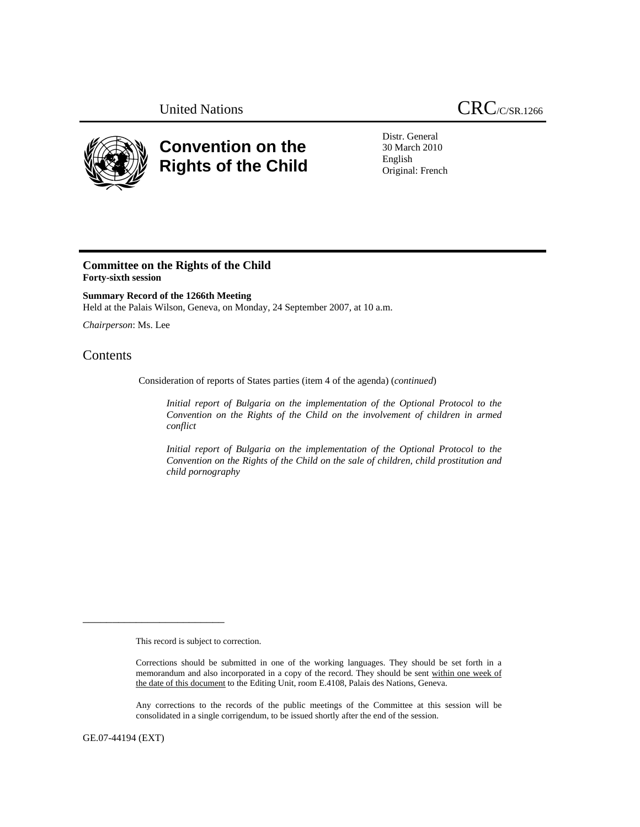

# **Convention on the Rights of the Child**

Distr. General 30 March 2010 English Original: French

# **Committee on the Rights of the Child Forty-sixth session**

## **Summary Record of the 1266th Meeting**

Held at the Palais Wilson, Geneva, on Monday, 24 September 2007, at 10 a.m.

*Chairperson*: Ms. Lee

# Contents

Consideration of reports of States parties (item 4 of the agenda) (*continued*)

*Initial report of Bulgaria on the implementation of the Optional Protocol to the Convention on the Rights of the Child on the involvement of children in armed conflict* 

*Initial report of Bulgaria on the implementation of the Optional Protocol to the Convention on the Rights of the Child on the sale of children, child prostitution and child pornography*

This record is subject to correction.

\_\_\_\_\_\_\_\_\_\_\_\_\_\_\_\_\_\_\_\_\_\_\_\_

Any corrections to the records of the public meetings of the Committee at this session will be consolidated in a single corrigendum, to be issued shortly after the end of the session.

GE.07-44194 (EXT)

Corrections should be submitted in one of the working languages. They should be set forth in a memorandum and also incorporated in a copy of the record. They should be sent within one week of the date of this document to the Editing Unit, room E.4108, Palais des Nations, Geneva.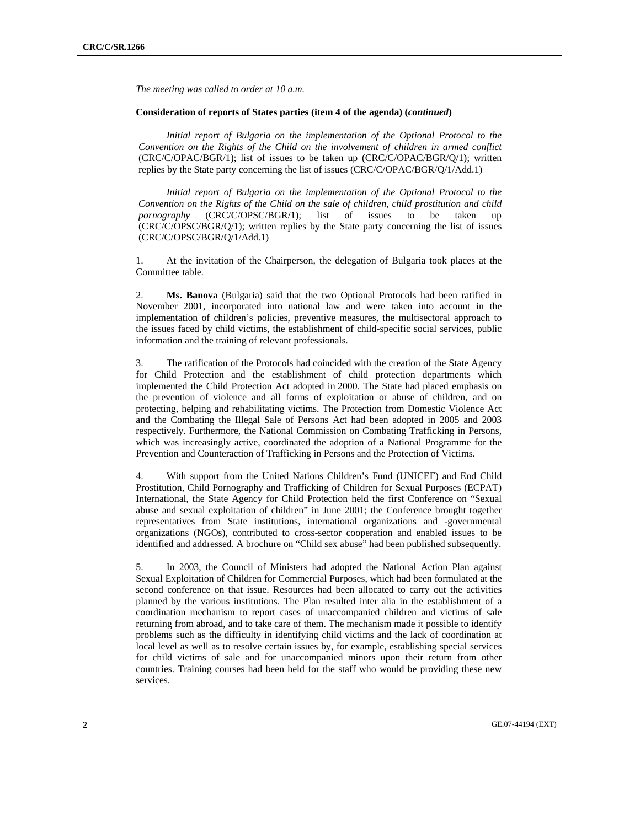*The meeting was called to order at 10 a.m.* 

#### **Consideration of reports of States parties (item 4 of the agenda) (***continued***)**

*Initial report of Bulgaria on the implementation of the Optional Protocol to the Convention on the Rights of the Child on the involvement of children in armed conflict*  (CRC/C/OPAC/BGR/1); list of issues to be taken up (CRC/C/OPAC/BGR/Q/1); written replies by the State party concerning the list of issues (CRC/C/OPAC/BGR/Q/1/Add.1)

*Initial report of Bulgaria on the implementation of the Optional Protocol to the Convention on the Rights of the Child on the sale of children, child prostitution and child pornography* (CRC/C/OPSC/BGR/1); list of issues to be taken up (CRC/C/OPSC/BGR/Q/1); written replies by the State party concerning the list of issues (CRC/C/OPSC/BGR/Q/1/Add.1)

1. At the invitation of the Chairperson, the delegation of Bulgaria took places at the Committee table.

2. **Ms. Banova** (Bulgaria) said that the two Optional Protocols had been ratified in November 2001, incorporated into national law and were taken into account in the implementation of children's policies, preventive measures, the multisectoral approach to the issues faced by child victims, the establishment of child-specific social services, public information and the training of relevant professionals.

3. The ratification of the Protocols had coincided with the creation of the State Agency for Child Protection and the establishment of child protection departments which implemented the Child Protection Act adopted in 2000. The State had placed emphasis on the prevention of violence and all forms of exploitation or abuse of children, and on protecting, helping and rehabilitating victims. The Protection from Domestic Violence Act and the Combating the Illegal Sale of Persons Act had been adopted in 2005 and 2003 respectively. Furthermore, the National Commission on Combating Trafficking in Persons, which was increasingly active, coordinated the adoption of a National Programme for the Prevention and Counteraction of Trafficking in Persons and the Protection of Victims.

4. With support from the United Nations Children's Fund (UNICEF) and End Child Prostitution, Child Pornography and Trafficking of Children for Sexual Purposes (ECPAT) International, the State Agency for Child Protection held the first Conference on "Sexual abuse and sexual exploitation of children" in June 2001; the Conference brought together representatives from State institutions, international organizations and -governmental organizations (NGOs), contributed to cross-sector cooperation and enabled issues to be identified and addressed. A brochure on "Child sex abuse" had been published subsequently.

5. In 2003, the Council of Ministers had adopted the National Action Plan against Sexual Exploitation of Children for Commercial Purposes, which had been formulated at the second conference on that issue. Resources had been allocated to carry out the activities planned by the various institutions. The Plan resulted inter alia in the establishment of a coordination mechanism to report cases of unaccompanied children and victims of sale returning from abroad, and to take care of them. The mechanism made it possible to identify problems such as the difficulty in identifying child victims and the lack of coordination at local level as well as to resolve certain issues by, for example, establishing special services for child victims of sale and for unaccompanied minors upon their return from other countries. Training courses had been held for the staff who would be providing these new services.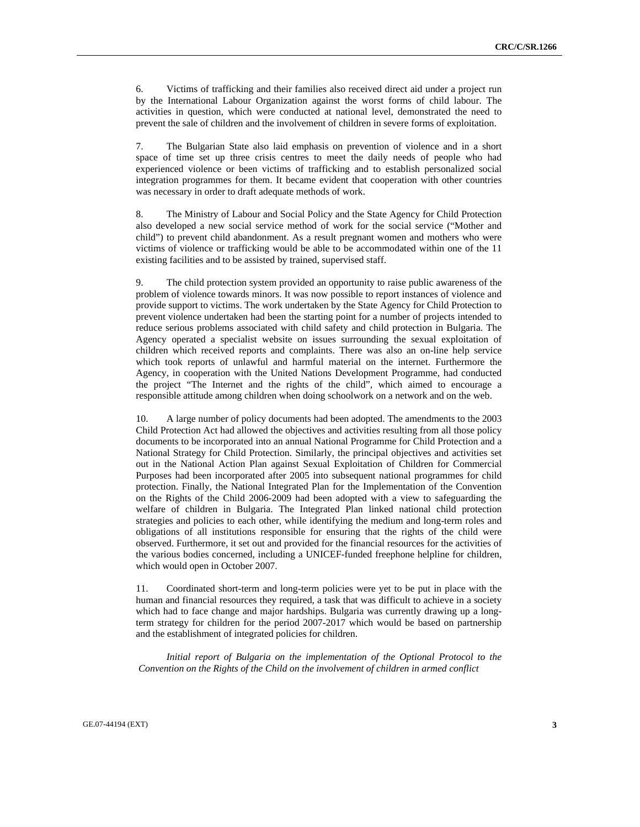6. Victims of trafficking and their families also received direct aid under a project run by the International Labour Organization against the worst forms of child labour. The activities in question, which were conducted at national level, demonstrated the need to prevent the sale of children and the involvement of children in severe forms of exploitation.

7. The Bulgarian State also laid emphasis on prevention of violence and in a short space of time set up three crisis centres to meet the daily needs of people who had experienced violence or been victims of trafficking and to establish personalized social integration programmes for them. It became evident that cooperation with other countries was necessary in order to draft adequate methods of work.

8. The Ministry of Labour and Social Policy and the State Agency for Child Protection also developed a new social service method of work for the social service ("Mother and child") to prevent child abandonment. As a result pregnant women and mothers who were victims of violence or trafficking would be able to be accommodated within one of the 11 existing facilities and to be assisted by trained, supervised staff.

9. The child protection system provided an opportunity to raise public awareness of the problem of violence towards minors. It was now possible to report instances of violence and provide support to victims. The work undertaken by the State Agency for Child Protection to prevent violence undertaken had been the starting point for a number of projects intended to reduce serious problems associated with child safety and child protection in Bulgaria. The Agency operated a specialist website on issues surrounding the sexual exploitation of children which received reports and complaints. There was also an on-line help service which took reports of unlawful and harmful material on the internet. Furthermore the Agency, in cooperation with the United Nations Development Programme, had conducted the project "The Internet and the rights of the child", which aimed to encourage a responsible attitude among children when doing schoolwork on a network and on the web.

10. A large number of policy documents had been adopted. The amendments to the 2003 Child Protection Act had allowed the objectives and activities resulting from all those policy documents to be incorporated into an annual National Programme for Child Protection and a National Strategy for Child Protection. Similarly, the principal objectives and activities set out in the National Action Plan against Sexual Exploitation of Children for Commercial Purposes had been incorporated after 2005 into subsequent national programmes for child protection. Finally, the National Integrated Plan for the Implementation of the Convention on the Rights of the Child 2006-2009 had been adopted with a view to safeguarding the welfare of children in Bulgaria. The Integrated Plan linked national child protection strategies and policies to each other, while identifying the medium and long-term roles and obligations of all institutions responsible for ensuring that the rights of the child were observed. Furthermore, it set out and provided for the financial resources for the activities of the various bodies concerned, including a UNICEF-funded freephone helpline for children, which would open in October 2007.

11. Coordinated short-term and long-term policies were yet to be put in place with the human and financial resources they required, a task that was difficult to achieve in a society which had to face change and major hardships. Bulgaria was currently drawing up a longterm strategy for children for the period 2007-2017 which would be based on partnership and the establishment of integrated policies for children.

*Initial report of Bulgaria on the implementation of the Optional Protocol to the Convention on the Rights of the Child on the involvement of children in armed conflict*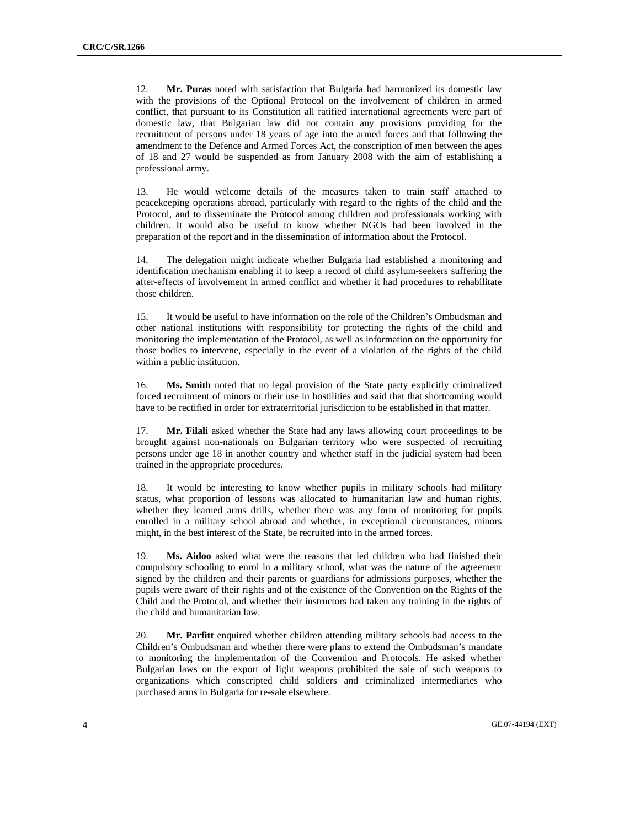12. **Mr. Puras** noted with satisfaction that Bulgaria had harmonized its domestic law with the provisions of the Optional Protocol on the involvement of children in armed conflict, that pursuant to its Constitution all ratified international agreements were part of domestic law, that Bulgarian law did not contain any provisions providing for the recruitment of persons under 18 years of age into the armed forces and that following the amendment to the Defence and Armed Forces Act, the conscription of men between the ages of 18 and 27 would be suspended as from January 2008 with the aim of establishing a professional army.

13. He would welcome details of the measures taken to train staff attached to peacekeeping operations abroad, particularly with regard to the rights of the child and the Protocol, and to disseminate the Protocol among children and professionals working with children. It would also be useful to know whether NGOs had been involved in the preparation of the report and in the dissemination of information about the Protocol.

14. The delegation might indicate whether Bulgaria had established a monitoring and identification mechanism enabling it to keep a record of child asylum-seekers suffering the after-effects of involvement in armed conflict and whether it had procedures to rehabilitate those children.

15. It would be useful to have information on the role of the Children's Ombudsman and other national institutions with responsibility for protecting the rights of the child and monitoring the implementation of the Protocol, as well as information on the opportunity for those bodies to intervene, especially in the event of a violation of the rights of the child within a public institution.

16. **Ms. Smith** noted that no legal provision of the State party explicitly criminalized forced recruitment of minors or their use in hostilities and said that that shortcoming would have to be rectified in order for extraterritorial jurisdiction to be established in that matter.

17. **Mr. Filali** asked whether the State had any laws allowing court proceedings to be brought against non-nationals on Bulgarian territory who were suspected of recruiting persons under age 18 in another country and whether staff in the judicial system had been trained in the appropriate procedures.

18. It would be interesting to know whether pupils in military schools had military status, what proportion of lessons was allocated to humanitarian law and human rights, whether they learned arms drills, whether there was any form of monitoring for pupils enrolled in a military school abroad and whether, in exceptional circumstances, minors might, in the best interest of the State, be recruited into in the armed forces.

19. **Ms. Aidoo** asked what were the reasons that led children who had finished their compulsory schooling to enrol in a military school, what was the nature of the agreement signed by the children and their parents or guardians for admissions purposes, whether the pupils were aware of their rights and of the existence of the Convention on the Rights of the Child and the Protocol, and whether their instructors had taken any training in the rights of the child and humanitarian law.

20. **Mr. Parfitt** enquired whether children attending military schools had access to the Children's Ombudsman and whether there were plans to extend the Ombudsman's mandate to monitoring the implementation of the Convention and Protocols. He asked whether Bulgarian laws on the export of light weapons prohibited the sale of such weapons to organizations which conscripted child soldiers and criminalized intermediaries who purchased arms in Bulgaria for re-sale elsewhere.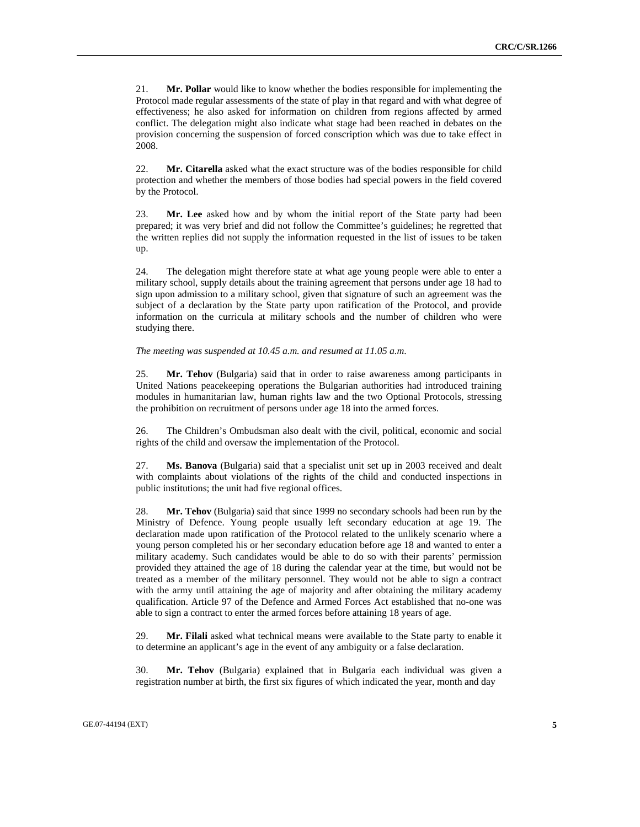21. **Mr. Pollar** would like to know whether the bodies responsible for implementing the Protocol made regular assessments of the state of play in that regard and with what degree of effectiveness; he also asked for information on children from regions affected by armed conflict. The delegation might also indicate what stage had been reached in debates on the provision concerning the suspension of forced conscription which was due to take effect in 2008.

22. **Mr. Citarella** asked what the exact structure was of the bodies responsible for child protection and whether the members of those bodies had special powers in the field covered by the Protocol.

23. **Mr. Lee** asked how and by whom the initial report of the State party had been prepared; it was very brief and did not follow the Committee's guidelines; he regretted that the written replies did not supply the information requested in the list of issues to be taken up.

24. The delegation might therefore state at what age young people were able to enter a military school, supply details about the training agreement that persons under age 18 had to sign upon admission to a military school, given that signature of such an agreement was the subject of a declaration by the State party upon ratification of the Protocol, and provide information on the curricula at military schools and the number of children who were studying there.

### *The meeting was suspended at 10.45 a.m. and resumed at 11.05 a.m*.

25. **Mr. Tehov** (Bulgaria) said that in order to raise awareness among participants in United Nations peacekeeping operations the Bulgarian authorities had introduced training modules in humanitarian law, human rights law and the two Optional Protocols, stressing the prohibition on recruitment of persons under age 18 into the armed forces.

26. The Children's Ombudsman also dealt with the civil, political, economic and social rights of the child and oversaw the implementation of the Protocol.

27. **Ms. Banova** (Bulgaria) said that a specialist unit set up in 2003 received and dealt with complaints about violations of the rights of the child and conducted inspections in public institutions; the unit had five regional offices.

28. **Mr. Tehov** (Bulgaria) said that since 1999 no secondary schools had been run by the Ministry of Defence. Young people usually left secondary education at age 19. The declaration made upon ratification of the Protocol related to the unlikely scenario where a young person completed his or her secondary education before age 18 and wanted to enter a military academy. Such candidates would be able to do so with their parents' permission provided they attained the age of 18 during the calendar year at the time, but would not be treated as a member of the military personnel. They would not be able to sign a contract with the army until attaining the age of majority and after obtaining the military academy qualification. Article 97 of the Defence and Armed Forces Act established that no-one was able to sign a contract to enter the armed forces before attaining 18 years of age.

29. **Mr. Filali** asked what technical means were available to the State party to enable it to determine an applicant's age in the event of any ambiguity or a false declaration.

30. **Mr. Tehov** (Bulgaria) explained that in Bulgaria each individual was given a registration number at birth, the first six figures of which indicated the year, month and day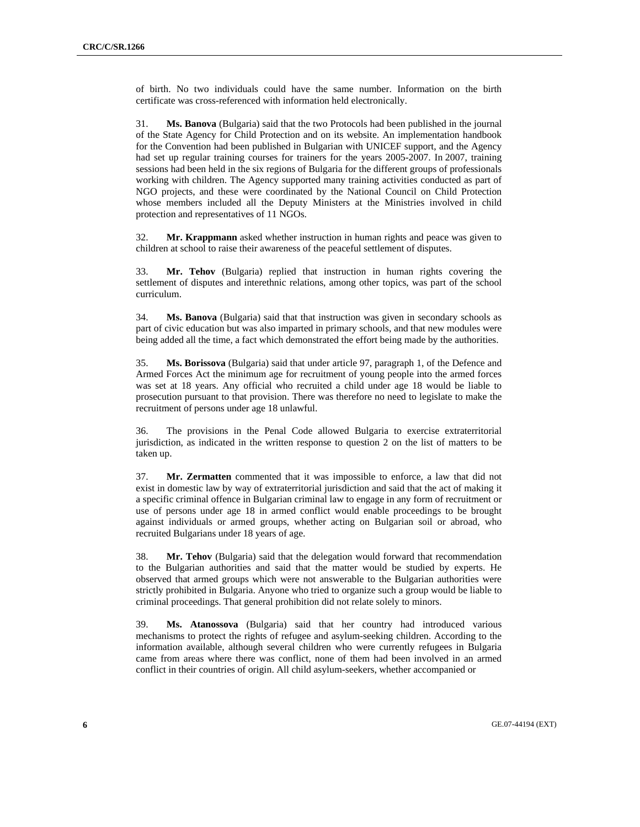of birth. No two individuals could have the same number. Information on the birth certificate was cross-referenced with information held electronically.

31. **Ms. Banova** (Bulgaria) said that the two Protocols had been published in the journal of the State Agency for Child Protection and on its website. An implementation handbook for the Convention had been published in Bulgarian with UNICEF support, and the Agency had set up regular training courses for trainers for the years 2005-2007. In 2007, training sessions had been held in the six regions of Bulgaria for the different groups of professionals working with children. The Agency supported many training activities conducted as part of NGO projects, and these were coordinated by the National Council on Child Protection whose members included all the Deputy Ministers at the Ministries involved in child protection and representatives of 11 NGOs.

32. **Mr. Krappmann** asked whether instruction in human rights and peace was given to children at school to raise their awareness of the peaceful settlement of disputes.

33. **Mr. Tehov** (Bulgaria) replied that instruction in human rights covering the settlement of disputes and interethnic relations, among other topics, was part of the school curriculum.

34. **Ms. Banova** (Bulgaria) said that that instruction was given in secondary schools as part of civic education but was also imparted in primary schools, and that new modules were being added all the time, a fact which demonstrated the effort being made by the authorities.

35. **Ms. Borissova** (Bulgaria) said that under article 97, paragraph 1, of the Defence and Armed Forces Act the minimum age for recruitment of young people into the armed forces was set at 18 years. Any official who recruited a child under age 18 would be liable to prosecution pursuant to that provision. There was therefore no need to legislate to make the recruitment of persons under age 18 unlawful.

36. The provisions in the Penal Code allowed Bulgaria to exercise extraterritorial jurisdiction, as indicated in the written response to question 2 on the list of matters to be taken up.

37. **Mr. Zermatten** commented that it was impossible to enforce, a law that did not exist in domestic law by way of extraterritorial jurisdiction and said that the act of making it a specific criminal offence in Bulgarian criminal law to engage in any form of recruitment or use of persons under age 18 in armed conflict would enable proceedings to be brought against individuals or armed groups, whether acting on Bulgarian soil or abroad, who recruited Bulgarians under 18 years of age.

38. **Mr. Tehov** (Bulgaria) said that the delegation would forward that recommendation to the Bulgarian authorities and said that the matter would be studied by experts. He observed that armed groups which were not answerable to the Bulgarian authorities were strictly prohibited in Bulgaria. Anyone who tried to organize such a group would be liable to criminal proceedings. That general prohibition did not relate solely to minors.

39. **Ms. Atanossova** (Bulgaria) said that her country had introduced various mechanisms to protect the rights of refugee and asylum-seeking children. According to the information available, although several children who were currently refugees in Bulgaria came from areas where there was conflict, none of them had been involved in an armed conflict in their countries of origin. All child asylum-seekers, whether accompanied or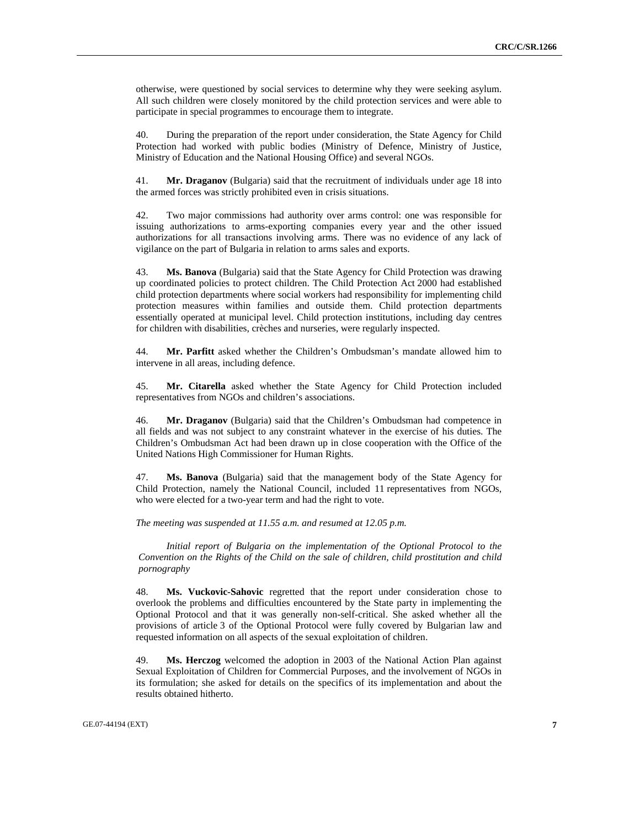otherwise, were questioned by social services to determine why they were seeking asylum. All such children were closely monitored by the child protection services and were able to participate in special programmes to encourage them to integrate.

40. During the preparation of the report under consideration, the State Agency for Child Protection had worked with public bodies (Ministry of Defence, Ministry of Justice, Ministry of Education and the National Housing Office) and several NGOs.

41. **Mr. Draganov** (Bulgaria) said that the recruitment of individuals under age 18 into the armed forces was strictly prohibited even in crisis situations.

42. Two major commissions had authority over arms control: one was responsible for issuing authorizations to arms-exporting companies every year and the other issued authorizations for all transactions involving arms. There was no evidence of any lack of vigilance on the part of Bulgaria in relation to arms sales and exports.

43. **Ms. Banova** (Bulgaria) said that the State Agency for Child Protection was drawing up coordinated policies to protect children. The Child Protection Act 2000 had established child protection departments where social workers had responsibility for implementing child protection measures within families and outside them. Child protection departments essentially operated at municipal level. Child protection institutions, including day centres for children with disabilities, crèches and nurseries, were regularly inspected.

44. **Mr. Parfitt** asked whether the Children's Ombudsman's mandate allowed him to intervene in all areas, including defence.

45. **Mr. Citarella** asked whether the State Agency for Child Protection included representatives from NGOs and children's associations.

46. **Mr. Draganov** (Bulgaria) said that the Children's Ombudsman had competence in all fields and was not subject to any constraint whatever in the exercise of his duties. The Children's Ombudsman Act had been drawn up in close cooperation with the Office of the United Nations High Commissioner for Human Rights.

47. **Ms. Banova** (Bulgaria) said that the management body of the State Agency for Child Protection, namely the National Council, included 11 representatives from NGOs, who were elected for a two-year term and had the right to vote.

*The meeting was suspended at 11.55 a.m. and resumed at 12.05 p.m.*

*Initial report of Bulgaria on the implementation of the Optional Protocol to the Convention on the Rights of the Child on the sale of children, child prostitution and child pornography* 

48. **Ms. Vuckovic-Sahovic** regretted that the report under consideration chose to overlook the problems and difficulties encountered by the State party in implementing the Optional Protocol and that it was generally non-self-critical. She asked whether all the provisions of article 3 of the Optional Protocol were fully covered by Bulgarian law and requested information on all aspects of the sexual exploitation of children.

49. **Ms. Herczog** welcomed the adoption in 2003 of the National Action Plan against Sexual Exploitation of Children for Commercial Purposes, and the involvement of NGOs in its formulation; she asked for details on the specifics of its implementation and about the results obtained hitherto.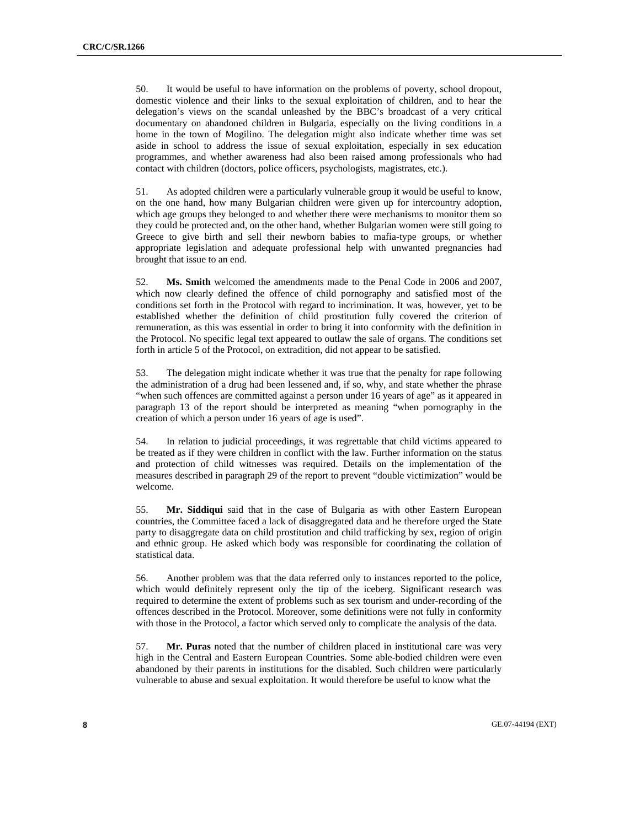50. It would be useful to have information on the problems of poverty, school dropout, domestic violence and their links to the sexual exploitation of children, and to hear the delegation's views on the scandal unleashed by the BBC's broadcast of a very critical documentary on abandoned children in Bulgaria, especially on the living conditions in a home in the town of Mogilino. The delegation might also indicate whether time was set aside in school to address the issue of sexual exploitation, especially in sex education programmes, and whether awareness had also been raised among professionals who had contact with children (doctors, police officers, psychologists, magistrates, etc.).

51. As adopted children were a particularly vulnerable group it would be useful to know, on the one hand, how many Bulgarian children were given up for intercountry adoption, which age groups they belonged to and whether there were mechanisms to monitor them so they could be protected and, on the other hand, whether Bulgarian women were still going to Greece to give birth and sell their newborn babies to mafia-type groups, or whether appropriate legislation and adequate professional help with unwanted pregnancies had brought that issue to an end.

52. **Ms. Smith** welcomed the amendments made to the Penal Code in 2006 and 2007, which now clearly defined the offence of child pornography and satisfied most of the conditions set forth in the Protocol with regard to incrimination. It was, however, yet to be established whether the definition of child prostitution fully covered the criterion of remuneration, as this was essential in order to bring it into conformity with the definition in the Protocol. No specific legal text appeared to outlaw the sale of organs. The conditions set forth in article 5 of the Protocol, on extradition, did not appear to be satisfied.

53. The delegation might indicate whether it was true that the penalty for rape following the administration of a drug had been lessened and, if so, why, and state whether the phrase "when such offences are committed against a person under 16 years of age" as it appeared in paragraph 13 of the report should be interpreted as meaning "when pornography in the creation of which a person under 16 years of age is used".

54. In relation to judicial proceedings, it was regrettable that child victims appeared to be treated as if they were children in conflict with the law. Further information on the status and protection of child witnesses was required. Details on the implementation of the measures described in paragraph 29 of the report to prevent "double victimization" would be welcome.

55. **Mr. Siddiqui** said that in the case of Bulgaria as with other Eastern European countries, the Committee faced a lack of disaggregated data and he therefore urged the State party to disaggregate data on child prostitution and child trafficking by sex, region of origin and ethnic group. He asked which body was responsible for coordinating the collation of statistical data.

56. Another problem was that the data referred only to instances reported to the police, which would definitely represent only the tip of the iceberg. Significant research was required to determine the extent of problems such as sex tourism and under-recording of the offences described in the Protocol. Moreover, some definitions were not fully in conformity with those in the Protocol, a factor which served only to complicate the analysis of the data.

57. **Mr. Puras** noted that the number of children placed in institutional care was very high in the Central and Eastern European Countries. Some able-bodied children were even abandoned by their parents in institutions for the disabled. Such children were particularly vulnerable to abuse and sexual exploitation. It would therefore be useful to know what the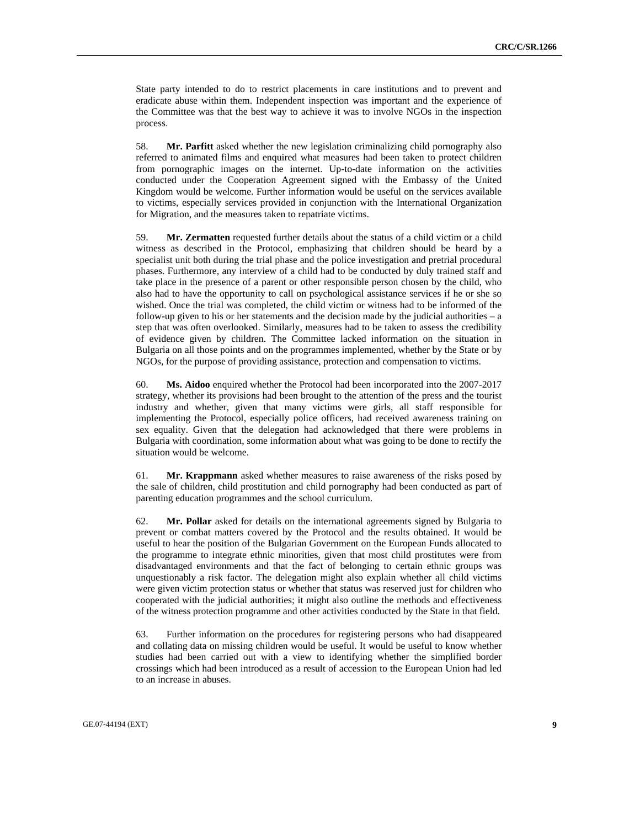State party intended to do to restrict placements in care institutions and to prevent and eradicate abuse within them. Independent inspection was important and the experience of the Committee was that the best way to achieve it was to involve NGOs in the inspection process.

58. **Mr. Parfitt** asked whether the new legislation criminalizing child pornography also referred to animated films and enquired what measures had been taken to protect children from pornographic images on the internet. Up-to-date information on the activities conducted under the Cooperation Agreement signed with the Embassy of the United Kingdom would be welcome. Further information would be useful on the services available to victims, especially services provided in conjunction with the International Organization for Migration, and the measures taken to repatriate victims.

59. **Mr. Zermatten** requested further details about the status of a child victim or a child witness as described in the Protocol, emphasizing that children should be heard by a specialist unit both during the trial phase and the police investigation and pretrial procedural phases. Furthermore, any interview of a child had to be conducted by duly trained staff and take place in the presence of a parent or other responsible person chosen by the child, who also had to have the opportunity to call on psychological assistance services if he or she so wished. Once the trial was completed, the child victim or witness had to be informed of the follow-up given to his or her statements and the decision made by the judicial authorities – a step that was often overlooked. Similarly, measures had to be taken to assess the credibility of evidence given by children. The Committee lacked information on the situation in Bulgaria on all those points and on the programmes implemented, whether by the State or by NGOs, for the purpose of providing assistance, protection and compensation to victims.

60. **Ms. Aidoo** enquired whether the Protocol had been incorporated into the 2007-2017 strategy, whether its provisions had been brought to the attention of the press and the tourist industry and whether, given that many victims were girls, all staff responsible for implementing the Protocol, especially police officers, had received awareness training on sex equality. Given that the delegation had acknowledged that there were problems in Bulgaria with coordination, some information about what was going to be done to rectify the situation would be welcome.

61. **Mr. Krappmann** asked whether measures to raise awareness of the risks posed by the sale of children, child prostitution and child pornography had been conducted as part of parenting education programmes and the school curriculum.

62. **Mr. Pollar** asked for details on the international agreements signed by Bulgaria to prevent or combat matters covered by the Protocol and the results obtained. It would be useful to hear the position of the Bulgarian Government on the European Funds allocated to the programme to integrate ethnic minorities, given that most child prostitutes were from disadvantaged environments and that the fact of belonging to certain ethnic groups was unquestionably a risk factor. The delegation might also explain whether all child victims were given victim protection status or whether that status was reserved just for children who cooperated with the judicial authorities; it might also outline the methods and effectiveness of the witness protection programme and other activities conducted by the State in that field.

63. Further information on the procedures for registering persons who had disappeared and collating data on missing children would be useful. It would be useful to know whether studies had been carried out with a view to identifying whether the simplified border crossings which had been introduced as a result of accession to the European Union had led to an increase in abuses.